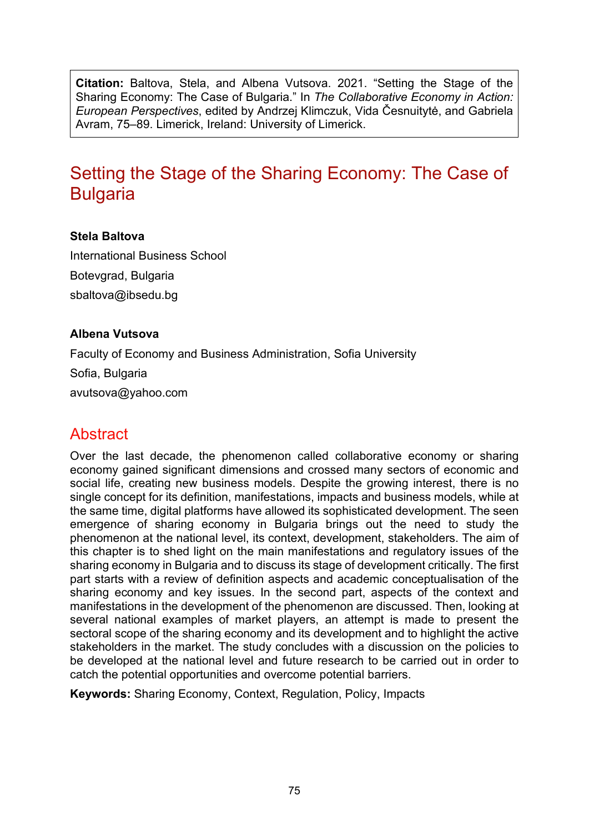**Citation:** Baltova, Stela, and Albena Vutsova. 2021. "Setting the Stage of the Sharing Economy: The Case of Bulgaria." In *The Collaborative Economy in Action: European Perspectives*, edited by Andrzej Klimczuk, Vida Česnuitytė, and Gabriela Avram, 75–89. Limerick, Ireland: University of Limerick.

# Setting the Stage of the Sharing Economy: The Case of **Bulgaria**

#### **Stela Baltova**

International Business School Botevgrad, Bulgaria [sbaltova@ibsedu.bg](mailto:sbaltova@ibsedu.bg)

#### **Albena Vutsova**

Faculty of Economy and Business Administration, Sofia University

Sofia, Bulgaria

[avutsova@yahoo.com](mailto:avutsova@yahoo.com)

## Abstract

Over the last decade, the phenomenon called collaborative economy or sharing economy gained significant dimensions and crossed many sectors of economic and social life, creating new business models. Despite the growing interest, there is no single concept for its definition, manifestations, impacts and business models, while at the same time, digital platforms have allowed its sophisticated development. The seen emergence of sharing economy in Bulgaria brings out the need to study the phenomenon at the national level, its context, development, stakeholders. The aim of this chapter is to shed light on the main manifestations and regulatory issues of the sharing economy in Bulgaria and to discuss its stage of development critically. The first part starts with a review of definition aspects and academic conceptualisation of the sharing economy and key issues. In the second part, aspects of the context and manifestations in the development of the phenomenon are discussed. Then, looking at several national examples of market players, an attempt is made to present the sectoral scope of the sharing economy and its development and to highlight the active stakeholders in the market. The study concludes with a discussion on the policies to be developed at the national level and future research to be carried out in order to catch the potential opportunities and overcome potential barriers.

**Keywords:** Sharing Economy, Context, Regulation, Policy, Impacts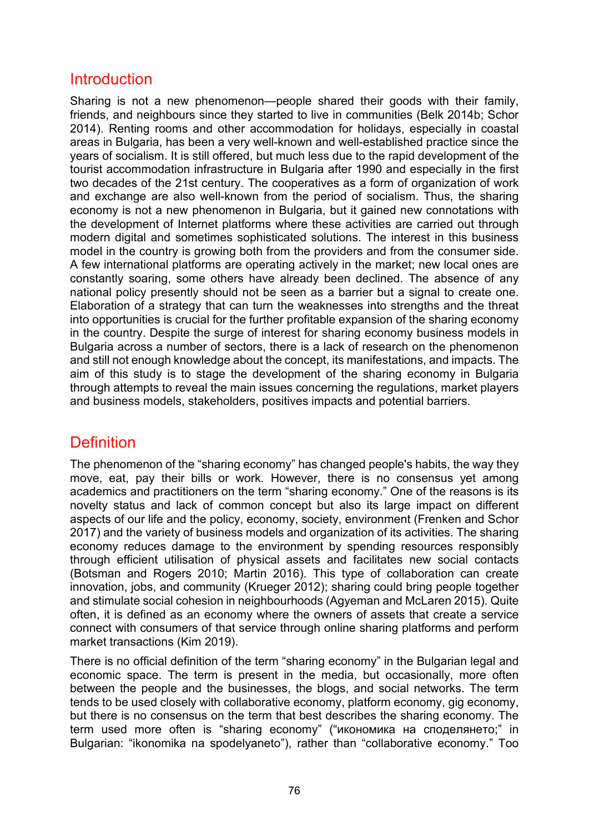### Introduction

Sharing is not a new phenomenon—people shared their goods with their family, friends, and neighbours since they started to live in communities (Belk 2014b; Schor 2014). Renting rooms and other accommodation for holidays, especially in coastal areas in Bulgaria, has been a very well-known and well-established practice since the years of socialism. It is still offered, but much less due to the rapid development of the tourist accommodation infrastructure in Bulgaria after 1990 and especially in the first two decades of the 21st century. The cooperatives as a form of organization of work and exchange are also well-known from the period of socialism. Thus, the sharing economy is not a new phenomenon in Bulgaria, but it gained new connotations with the development of Internet platforms where these activities are carried out through modern digital and sometimes sophisticated solutions. The interest in this business model in the country is growing both from the providers and from the consumer side. A few international platforms are operating actively in the market; new local ones are constantly soaring, some others have already been declined. The absence of any national policy presently should not be seen as a barrier but a signal to create one. Elaboration of a strategy that can turn the weaknesses into strengths and the threat into opportunities is crucial for the further profitable expansion of the sharing economy in the country. Despite the surge of interest for sharing economy business models in Bulgaria across a number of sectors, there is a lack of research on the phenomenon and still not enough knowledge about the concept, its manifestations, and impacts. The aim of this study is to stage the development of the sharing economy in Bulgaria through attempts to reveal the main issues concerning the regulations, market players and business models, stakeholders, positives impacts and potential barriers.

## **Definition**

The phenomenon of the "sharing economy" has changed people's habits, the way they move, eat, pay their bills or work. However, there is no consensus yet among academics and practitioners on the term "sharing economy." One of the reasons is its novelty status and lack of common concept but also its large impact on different aspects of our life and the policy, economy, society, environment (Frenken and Schor 2017) and the variety of business models and organization of its activities. The sharing economy reduces damage to the environment by spending resources responsibly through efficient utilisation of physical assets and facilitates new social contacts (Botsman and Rogers 2010; Martin 2016). This type of collaboration can create innovation, jobs, and community (Krueger 2012); sharing could bring people together and stimulate social cohesion in neighbourhoods (Agyeman and McLaren 2015). Quite often, it is defined as an economy where the owners of assets that create a service connect with consumers of that service through online sharing platforms and perform market transactions (Kim 2019).

There is no official definition of the term "sharing economy" in the Bulgarian legal and economic space. The term is present in the media, but occasionally, more often between the people and the businesses, the blogs, and social networks. The term tends to be used closely with collaborative economy, platform economy, gig economy, but there is no consensus on the term that best describes the sharing economy. The term used more often is "sharing economy" ("икономика на споделянето;" in Bulgarian: "ikonomika na spodelyaneto"), rather than "collaborative economy." Too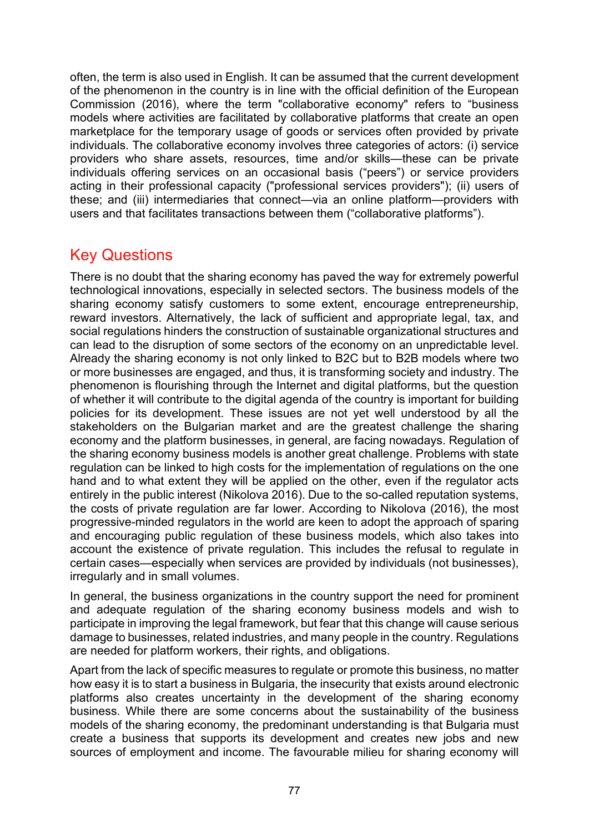often, the term is also used in English. It can be assumed that the current development of the phenomenon in the country is in line with the official definition of the European Commission (2016), where the term "collaborative economy" refers to "business models where activities are facilitated by collaborative platforms that create an open marketplace for the temporary usage of goods or services often provided by private individuals. The collaborative economy involves three categories of actors: (i) service providers who share assets, resources, time and/or skills—these can be private individuals offering services on an occasional basis ("peers") or service providers acting in their professional capacity ("professional services providers"); (ii) users of these; and (iii) intermediaries that connect—via an online platform—providers with users and that facilitates transactions between them ("collaborative platforms").

## Key Questions

There is no doubt that the sharing economy has paved the way for extremely powerful technological innovations, especially in selected sectors. The business models of the sharing economy satisfy customers to some extent, encourage entrepreneurship, reward investors. Alternatively, the lack of sufficient and appropriate legal, tax, and social regulations hinders the construction of sustainable organizational structures and can lead to the disruption of some sectors of the economy on an unpredictable level. Already the sharing economy is not only linked to B2C but to B2B models where two or more businesses are engaged, and thus, it is transforming society and industry. The phenomenon is flourishing through the Internet and digital platforms, but the question of whether it will contribute to the digital agenda of the country is important for building policies for its development. These issues are not yet well understood by all the stakeholders on the Bulgarian market and are the greatest challenge the sharing economy and the platform businesses, in general, are facing nowadays. Regulation of the sharing economy business models is another great challenge. Problems with state regulation can be linked to high costs for the implementation of regulations on the one hand and to what extent they will be applied on the other, even if the regulator acts entirely in the public interest (Nikolova 2016). Due to the so-called reputation systems, the costs of private regulation are far lower. According to Nikolova (2016), the most progressive-minded regulators in the world are keen to adopt the approach of sparing and encouraging public regulation of these business models, which also takes into account the existence of private regulation. This includes the refusal to regulate in certain cases—especially when services are provided by individuals (not businesses), irregularly and in small volumes.

In general, the business organizations in the country support the need for prominent and adequate regulation of the sharing economy business models and wish to participate in improving the legal framework, but fear that this change will cause serious damage to businesses, related industries, and many people in the country. Regulations are needed for platform workers, their rights, and obligations.

Apart from the lack of specific measures to regulate or promote this business, no matter how easy it is to start a business in Bulgaria, the insecurity that exists around electronic platforms also creates uncertainty in the development of the sharing economy business. While there are some concerns about the sustainability of the business models of the sharing economy, the predominant understanding is that Bulgaria must create a business that supports its development and creates new jobs and new sources of employment and income. The favourable milieu for sharing economy will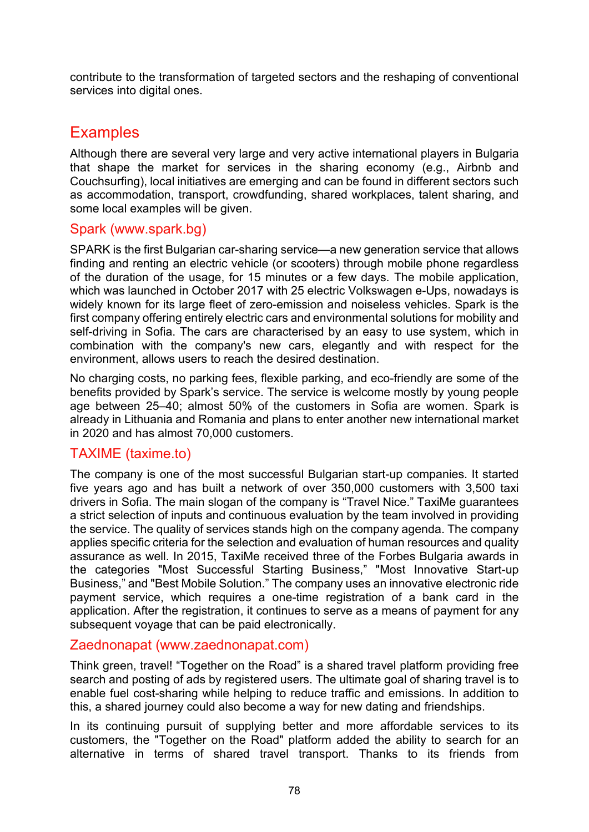contribute to the transformation of targeted sectors and the reshaping of conventional services into digital ones.

## **Examples**

Although there are several very large and very active international players in Bulgaria that shape the market for services in the sharing economy (e.g., Airbnb and Couchsurfing), local initiatives are emerging and can be found in different sectors such as accommodation, transport, crowdfunding, shared workplaces, talent sharing, and some local examples will be given.

### Spark ([www.spark.bg](http://www.spark.bg/))

SPARK is the first Bulgarian car-sharing service—a new generation service that allows finding and renting an electric vehicle (or scooters) through mobile phone regardless of the duration of the usage, for 15 minutes or a few days. The mobile application, which was launched in October 2017 with 25 electric Volkswagen e-Ups, nowadays is widely known for its large fleet of zero-emission and noiseless vehicles. Spark is the first company offering entirely electric cars and environmental solutions for mobility and self-driving in Sofia. The cars are characterised by an easy to use system, which in combination with the company's new cars, elegantly and with respect for the environment, allows users to reach the desired destination.

No charging costs, no parking fees, flexible parking, and eco-friendly are some of the benefits provided by Spark's service. The service is welcome mostly by young people age between 25–40; almost 50% of the customers in Sofia are women. Spark is already in Lithuania and Romania and plans to enter another new international market in 2020 and has almost 70,000 customers.

### TAXIME (taxime.to)

The company is one of the most successful Bulgarian start-up companies. It started five years ago and has built a network of over 350,000 customers with 3,500 taxi drivers in Sofia. The main slogan of the company is "Travel Nice." TaxiMe guarantees a strict selection of inputs and continuous evaluation by the team involved in providing the service. The quality of services stands high on the company agenda. The company applies specific criteria for the selection and evaluation of human resources and quality assurance as well. In 2015, TaxiMe received three of the Forbes Bulgaria awards in the categories "Most Successful Starting Business," "Most Innovative Start-up Business," and "Best Mobile Solution." The company uses an innovative electronic ride payment service, which requires a one-time registration of a bank card in the application. After the registration, it continues to serve as a means of payment for any subsequent voyage that can be paid electronically.

### Zaednonapat (www.zaednonapat.com)

Think green, travel! "Together on the Road" is a shared travel platform providing free search and posting of ads by registered users. The ultimate goal of sharing travel is to enable fuel cost-sharing while helping to reduce traffic and emissions. In addition to this, a shared journey could also become a way for new dating and friendships.

In its continuing pursuit of supplying better and more affordable services to its customers, the "Together on the Road" platform added the ability to search for an alternative in terms of shared travel transport. Thanks to its friends from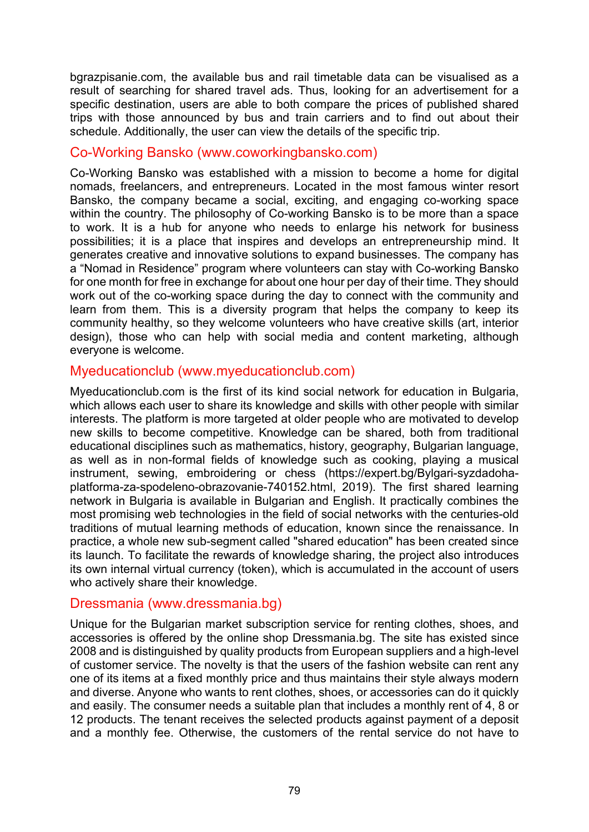bgrazpisanie.com, the available bus and rail timetable data can be visualised as a result of searching for shared travel ads. Thus, looking for an advertisement for a specific destination, users are able to both compare the prices of published shared trips with those announced by bus and train carriers and to find out about their schedule. Additionally, the user can view the details of the specific trip.

### Co-Working Bansko (www.coworkingbansko.com)

Co-Working Bansko was established with a mission to become a home for digital nomads, freelancers, and entrepreneurs. Located in the most famous winter resort Bansko, the company became a social, exciting, and engaging co-working space within the country. The philosophy of Co-working Bansko is to be more than a space to work. It is a hub for anyone who needs to enlarge his network for business possibilities; it is a place that inspires and develops an entrepreneurship mind. It generates creative and innovative solutions to expand businesses. The company has a "Nomad in Residence" program where volunteers can stay with Co-working Bansko for one month for free in exchange for about one hour per day of their time. They should work out of the co-working space during the day to connect with the community and learn from them. This is a diversity program that helps the company to keep its community healthy, so they welcome volunteers who have creative skills (art, interior design), those who can help with social media and content marketing, although everyone is welcome.

#### Myeducationclub (www.myeducationclub.com)

Myeducationclub.com is the first of its kind social network for education in Bulgaria, which allows each user to share its knowledge and skills with other people with similar interests. The platform is more targeted at older people who are motivated to develop new skills to become competitive. Knowledge can be shared, both from traditional educational disciplines such as mathematics, history, geography, Bulgarian language, as well as in non-formal fields of knowledge such as cooking, playing a musical instrument, sewing, embroidering or chess [\(https://expert.bg/Bylgari](https://expert.bg/Bylgari-syzdadoha-platforma-za-spodeleno-obrazovanie-740152.html)-syzdadoha[platforma-za-spodeleno-](https://expert.bg/Bylgari-syzdadoha-platforma-za-spodeleno-obrazovanie-740152.html)obrazovanie-740152.html, 2019). The first shared learning network in Bulgaria is available in Bulgarian and English. It practically combines the most promising web technologies in the field of social networks with the centuries-old traditions of mutual learning methods of education, known since the renaissance. In practice, a whole new sub-segment called "shared education" has been created since its launch. To facilitate the rewards of knowledge sharing, the project also introduces its own internal virtual currency (token), which is accumulated in the account of users who actively share their knowledge.

#### Dressmania (www.dressmania.bg)

Unique for the Bulgarian market subscription service for renting clothes, shoes, and accessories is offered by the online shop Dressmania.bg. The site has existed since 2008 and is distinguished by quality products from European suppliers and a high-level of customer service. The novelty is that the users of the fashion website can rent any one of its items at a fixed monthly price and thus maintains their style always modern and diverse. Anyone who wants to rent clothes, shoes, or accessories can do it quickly and easily. The consumer needs a suitable plan that includes a monthly rent of 4, 8 or 12 products. The tenant receives the selected products against payment of a deposit and a monthly fee. Otherwise, the customers of the rental service do not have to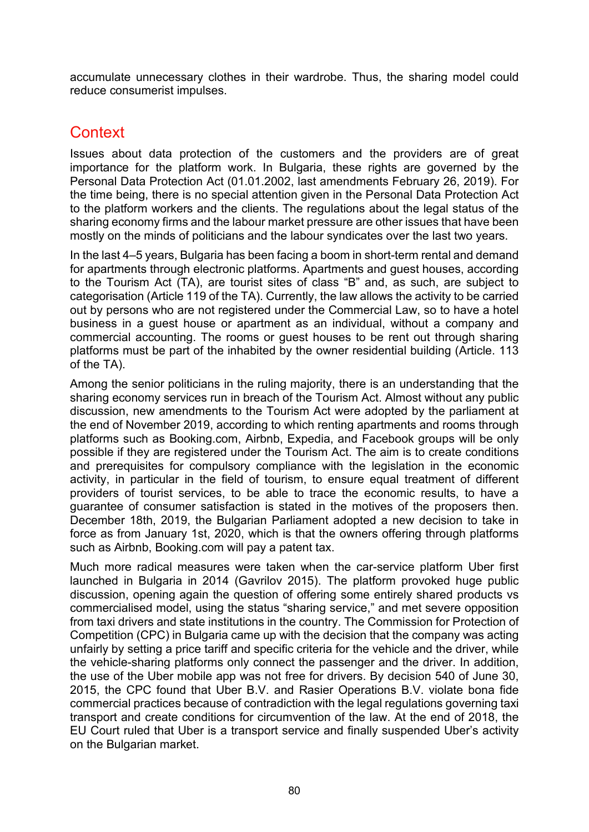accumulate unnecessary clothes in their wardrobe. Thus, the sharing model could reduce consumerist impulses.

### **Context**

Issues about data protection of the customers and the providers are of great importance for the platform work. In Bulgaria, these rights are governed by the Personal Data Protection Act (01.01.2002, last amendments February 26, 2019). For the time being, there is no special attention given in the Personal Data Protection Act to the platform workers and the clients. The regulations about the legal status of the sharing economy firms and the labour market pressure are other issues that have been mostly on the minds of politicians and the labour syndicates over the last two years.

In the last 4–5 years, Bulgaria has been facing a boom in short-term rental and demand for apartments through electronic platforms. Apartments and guest houses, according to the Tourism Act (ТA), are tourist sites of class "B" and, as such, are subject to categorisation (Article 119 of the ТA). Currently, the law allows the activity to be carried out by persons who are not registered under the Commercial Law, so to have a hotel business in a guest house or apartment as an individual, without a company and commercial accounting. The rooms or guest houses to be rent out through sharing platforms must be part of the inhabited by the owner residential building (Article. 113 of the TA).

Among the senior politicians in the ruling majority, there is an understanding that the sharing economy services run in breach of the Tourism Act. Almost without any public discussion, new amendments to the Tourism Act were adopted by the parliament at the end of November 2019, according to which renting apartments and rooms through platforms such as Booking.com, Airbnb, Expedia, and Facebook groups will be only possible if they are registered under the Tourism Act. The aim is to create conditions and prerequisites for compulsory compliance with the legislation in the economic activity, in particular in the field of tourism, to ensure equal treatment of different providers of tourist services, to be able to trace the economic results, to have a guarantee of consumer satisfaction is stated in the motives of the proposers then. December 18th, 2019, the Bulgarian Parliament adopted a new decision to take in force as from January 1st, 2020, which is that the owners offering through platforms such as Airbnb, Booking.com will pay a patent tax.

Much more radical measures were taken when the car-service platform Uber first launched in Bulgaria in 2014 (Gavrilov 2015). The platform provoked huge public discussion, opening again the question of offering some entirely shared products vs commercialised model, using the status "sharing service," and met severe opposition from taxi drivers and state institutions in the country. The Commission for Protection of Competition (CPC) in Bulgaria came up with the decision that the company was acting unfairly by setting a price tariff and specific criteria for the vehicle and the driver, while the vehicle-sharing platforms only connect the passenger and the driver. In addition, the use of the Uber mobile app was not free for drivers. By decision 540 of June 30, 2015, the CPC found that Uber B.V. and Rasier Operations B.V. violate bona fide commercial practices because of contradiction with the legal regulations governing taxi transport and create conditions for circumvention of the law. At the end of 2018, the EU Court ruled that Uber is a transport service and finally suspended Uber's activity on the Bulgarian market.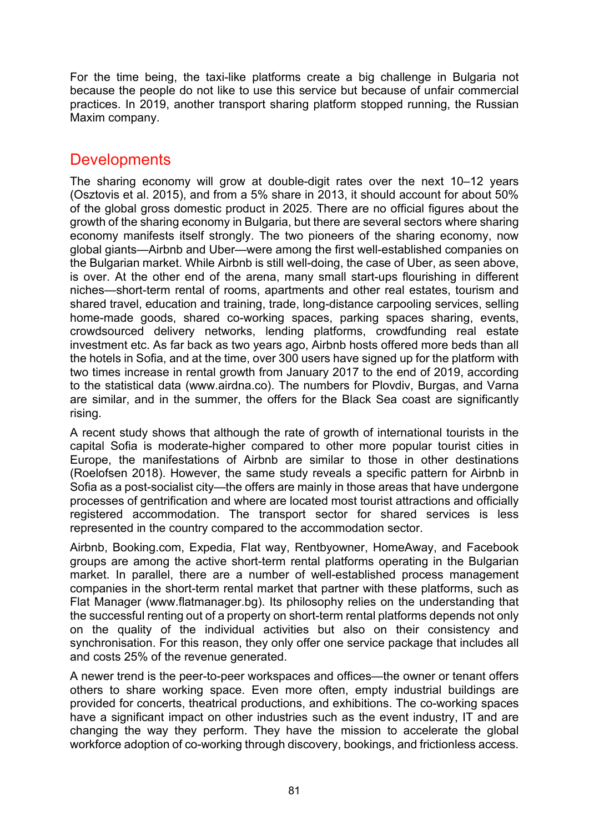For the time being, the taxi-like platforms create a big challenge in Bulgaria not because the people do not like to use this service but because of unfair commercial practices. In 2019, another transport sharing platform stopped running, the Russian Maxim company.

### **Developments**

The sharing economy will grow at double-digit rates over the next 10–12 years (Osztovis et al. 2015), and from a 5% share in 2013, it should account for about 50% of the global gross domestic product in 2025. There are no official figures about the growth of the sharing economy in Bulgaria, but there are several sectors where sharing economy manifests itself strongly. The two pioneers of the sharing economy, now global giants—Airbnb and Uber—were among the first well-established companies on the Bulgarian market. While Airbnb is still well-doing, the case of Uber, as seen above, is over. At the other end of the arena, many small start-ups flourishing in different niches—short-term rental of rooms, apartments and other real estates, tourism and shared travel, education and training, trade, long-distance carpooling services, selling home-made goods, shared co-working spaces, parking spaces sharing, events, crowdsourced delivery networks, lending platforms, crowdfunding real estate investment etc. As far back as two years ago, Airbnb hosts offered more beds than all the hotels in Sofia, and at the time, over 300 users have signed up for the platform with two times increase in rental growth from January 2017 to the end of 2019, according to the statistical data (www.airdna.co). The numbers for Plovdiv, Burgas, and Varna are similar, and in the summer, the offers for the Black Sea coast are significantly rising.

A recent study shows that although the rate of growth of international tourists in the capital Sofia is moderate-higher compared to other more popular tourist cities in Europe, the manifestations of Airbnb are similar to those in other destinations (Roelofsen 2018). However, the same study reveals a specific pattern for Airbnb in Sofia as a post-socialist city—the offers are mainly in those areas that have undergone processes of gentrification and where are located most tourist attractions and officially registered accommodation. The transport sector for shared services is less represented in the country compared to the accommodation sector.

Airbnb, Booking.com, Expedia, Flat way, Rentbyowner, HomeAway, and Facebook groups are among the active short-term rental platforms operating in the Bulgarian market. In parallel, there are a number of well-established process management companies in the short-term rental market that partner with these platforms, such as Flat Manager (www.flatmanager.bg). Its philosophy relies on the understanding that the successful renting out of a property on short-term rental platforms depends not only on the quality of the individual activities but also on their consistency and synchronisation. For this reason, they only offer one service package that includes all and costs 25% of the revenue generated.

A newer trend is the peer-to-peer workspaces and offices—the owner or tenant offers others to share working space. Even more often, empty industrial buildings are provided for concerts, theatrical productions, and exhibitions. The co-working spaces have a significant impact on other industries such as the event industry, IT and are changing the way they perform. They have the mission to accelerate the global workforce adoption of co-working through discovery, bookings, and frictionless access.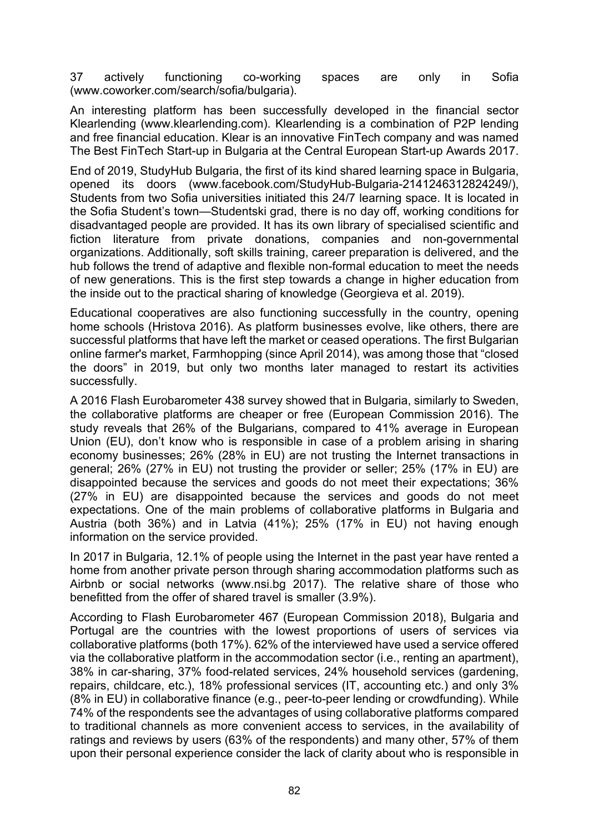37 actively functioning co-working spaces are only in Sofia (www.cowor[ker.com/search/sofia/bulgaria](https://www.coworker.com/search/sofia/bulgaria)).

An interesting platform has been successfully developed in the financial sector Klearlending [\(www.klearlending.com](http://www.klearlending.com/)). Klearlending is a combination of P2P lending and free financial education. Klear is an innovative FinTech company and was named The Best FinTech Start-up in Bulgaria at the Central European Start-up Awards 2017.

End of 2019, StudyHub Bulgaria, the first of its kind shared learning space in Bulgaria, opened its doors (www.facebook.com/StudyHub[-Bulgaria-2141246312824249/\)](https://www.facebook.com/StudyHub-Bulgaria-2141246312824249/), Students from two Sofia universities initiated this 24/7 learning space. It is located in the Sofia Student's town—Studentski grad, there is no day off, working conditions for disadvantaged people are provided. It has its own library of specialised scientific and fiction literature from private donations, companies and non-governmental organizations. Additionally, soft skills training, career preparation is delivered, and the hub follows the trend of adaptive and flexible non-formal education to meet the needs of new generations. This is the first step towards a change in higher education from the inside out to the practical sharing of knowledge (Georgieva et al. 2019).

Educational cooperatives are also functioning successfully in the country, opening home schools (Hristova 2016). As platform businesses evolve, like others, there are successful platforms that have left the market or ceased operations. The first Bulgarian online farmer's market, Farmhopping (since April 2014), was among those that "closed the doors" in 2019, but only two months later managed to restart its activities successfully.

A 2016 Flash Eurobarometer 438 survey showed that in Bulgaria, similarly to Sweden, the collaborative platforms are cheaper or free (European Commission 2016). The study reveals that 26% of the Bulgarians, compared to 41% average in European Union (EU), don't know who is responsible in case of a problem arising in sharing economy businesses; 26% (28% in EU) are not trusting the Internet transactions in general; 26% (27% in EU) not trusting the provider or seller; 25% (17% in EU) are disappointed because the services and goods do not meet their expectations; 36% (27% in EU) are disappointed because the services and goods do not meet expectations. One of the main problems of collaborative platforms in Bulgaria and Austria (both 36%) and in Latvia (41%); 25% (17% in EU) not having enough information on the service provided.

In 2017 in Bulgaria, 12.1% of people using the Internet in the past year have rented a home from another private person through sharing accommodation platforms such as Airbnb or social networks (www.nsi.bg 2017). The relative share of those who benefitted from the offer of shared travel is smaller (3.9%).

According to Flash Eurobarometer 467 (European Commission 2018), Bulgaria and Portugal are the countries with the lowest proportions of users of services via collaborative platforms (both 17%). 62% of the interviewed have used a service offered via the collaborative platform in the accommodation sector (i.e., renting an apartment), 38% in car-sharing, 37% food-related services, 24% household services (gardening, repairs, childcare, etc.), 18% professional services (IT, accounting etc.) and only 3% (8% in EU) in collaborative finance (e.g., peer-to-peer lending or crowdfunding). While 74% of the respondents see the advantages of using collaborative platforms compared to traditional channels as more convenient access to services, in the availability of ratings and reviews by users (63% of the respondents) and many other, 57% of them upon their personal experience consider the lack of clarity about who is responsible in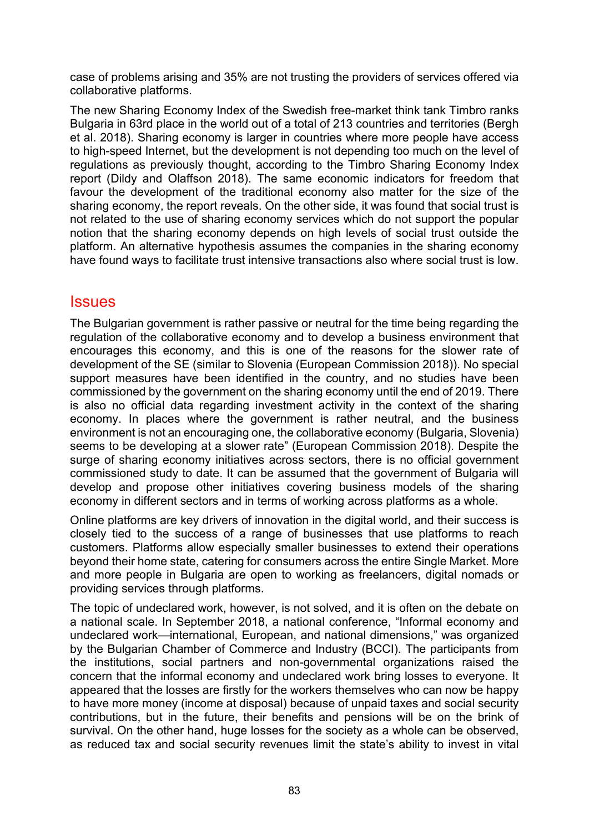case of problems arising and 35% are not trusting the providers of services offered via collaborative platforms.

The new Sharing Economy Index of the Swedish free-market think tank Timbro ranks Bulgaria in 63rd place in the world out of a total of 213 countries and territories (Bergh et al. 2018). Sharing economy is larger in countries where more people have access to high-speed Internet, but the development is not depending too much on the level of regulations as previously thought, according to the Timbro Sharing Economy Index report (Dildy and Olaffson 2018). The same economic indicators for freedom that favour the development of the traditional economy also matter for the size of the sharing economy, the report reveals. On the other side, it was found that social trust is not related to the use of sharing economy services which do not support the popular notion that the sharing economy depends on high levels of social trust outside the platform. An alternative hypothesis assumes the companies in the sharing economy have found ways to facilitate trust intensive transactions also where social trust is low.

### **Issues**

The Bulgarian government is rather passive or neutral for the time being regarding the regulation of the collaborative economy and to develop a business environment that encourages this economy, and this is one of the reasons for the slower rate of development of the SE (similar to Slovenia (European Commission 2018)). No special support measures have been identified in the country, and no studies have been commissioned by the government on the sharing economy until the end of 2019. There is also no official data regarding investment activity in the context of the sharing economy. In places where the government is rather neutral, and the business environment is not an encouraging one, the collaborative economy (Bulgaria, Slovenia) seems to be developing at a slower rate" (European Commission 2018). Despite the surge of sharing economy initiatives across sectors, there is no official government commissioned study to date. It can be assumed that the government of Bulgaria will develop and propose other initiatives covering business models of the sharing economy in different sectors and in terms of working across platforms as a whole.

Online platforms are key drivers of innovation in the digital world, and their success is closely tied to the success of a range of businesses that use platforms to reach customers. Platforms allow especially smaller businesses to extend their operations beyond their home state, catering for consumers across the entire Single Market. More and more people in Bulgaria are open to working as freelancers, digital nomads or providing services through platforms.

The topic of undeclared work, however, is not solved, and it is often on the debate on a national scale. In September 2018, a national conference, "Informal economy and undeclared work—international, European, and national dimensions," was organized by the Bulgarian Chamber of Commerce and Industry (BCCI). The participants from the institutions, social partners and non-governmental organizations raised the concern that the informal economy and undeclared work bring losses to everyone. It appeared that the losses are firstly for the workers themselves who can now be happy to have more money (income at disposal) because of unpaid taxes and social security contributions, but in the future, their benefits and pensions will be on the brink of survival. On the other hand, huge losses for the society as a whole can be observed, as reduced tax and social security revenues limit the state's ability to invest in vital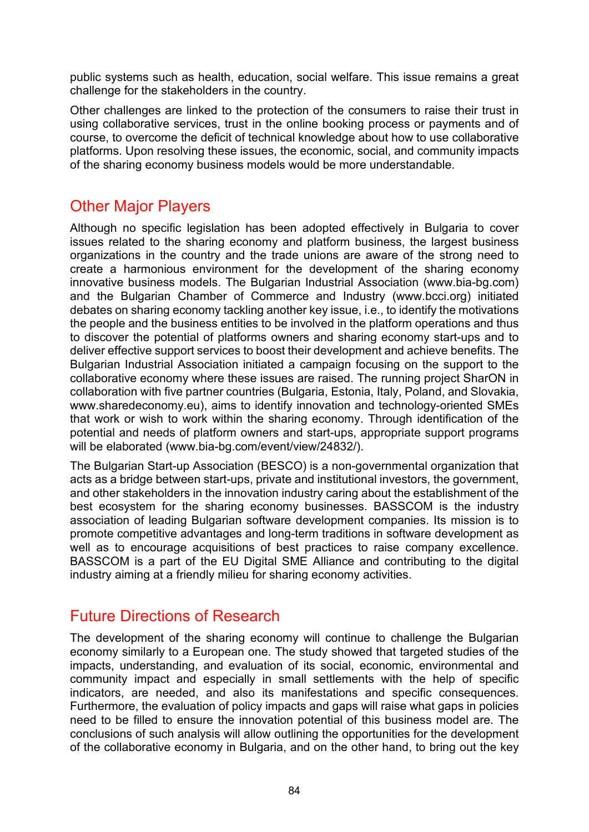public systems such as health, education, social welfare. This issue remains a great challenge for the stakeholders in the country.

Other challenges are linked to the protection of the consumers to raise their trust in using collaborative services, trust in the online booking process or payments and of course, to overcome the deficit of technical knowledge about how to use collaborative platforms. Upon resolving these issues, the economic, social, and community impacts of the sharing economy business models would be more understandable.

## Other Major Players

Although no specific legislation has been adopted effectively in Bulgaria to cover issues related to the sharing economy and platform business, the largest business organizations in the country and the trade unions are aware of the strong need to create a harmonious environment for the development of the sharing economy innovative business models. The Bulgarian Industrial Association ([www.bia](http://www.bia-bg.com/)-bg.com) and the Bulgarian Chamber of Commerce and Industry [\(www.bcci.org](http://www.bcci.org/)) initiated debates on sharing economy tackling another key issue, i.e., to identify the motivations the people and the business entities to be involved in the platform operations and thus to discover the potential of platforms owners and sharing economy start-ups and to deliver effective support services to boost their development and achieve benefits. The Bulgarian Industrial Association initiated a campaign focusing on the support to the collaborative economy where these issues are raised. The running project SharON in collaboration with five partner countries (Bulgaria, Estonia, Italy, Poland, and Slovakia, www.sharedeconomy.eu), aims to identify innovation and technology-oriented SMEs that work or wish to work within the sharing economy. Through identification of the potential and needs of platform owners and start-ups, appropriate support programs will be elaborated (www.bia-[bg.com/event/view/24832/](https://www.bia-bg.com/event/view/24832/)).

The Bulgarian Start-up Association (BESCO) is a non-governmental organization that acts as a bridge between start-ups, private and institutional investors, the government, and other stakeholders in the innovation industry caring about the establishment of the best ecosystem for the sharing economy businesses. BASSCOM is the industry association of leading Bulgarian software development companies. Its mission is to promote competitive advantages and long-term traditions in software development as well as to encourage acquisitions of best practices to raise company excellence. BASSCOM is a part of the EU Digital SME Alliance and contributing to the digital industry aiming at a friendly milieu for sharing economy activities.

## Future Directions of Research

The development of the sharing economy will continue to challenge the Bulgarian economy similarly to a European one. The study showed that targeted studies of the impacts, understanding, and evaluation of its social, economic, environmental and community impact and especially in small settlements with the help of specific indicators, are needed, and also its manifestations and specific consequences. Furthermore, the evaluation of policy impacts and gaps will raise what gaps in policies need to be filled to ensure the innovation potential of this business model are. The conclusions of such analysis will allow outlining the opportunities for the development of the collaborative economy in Bulgaria, and on the other hand, to bring out the key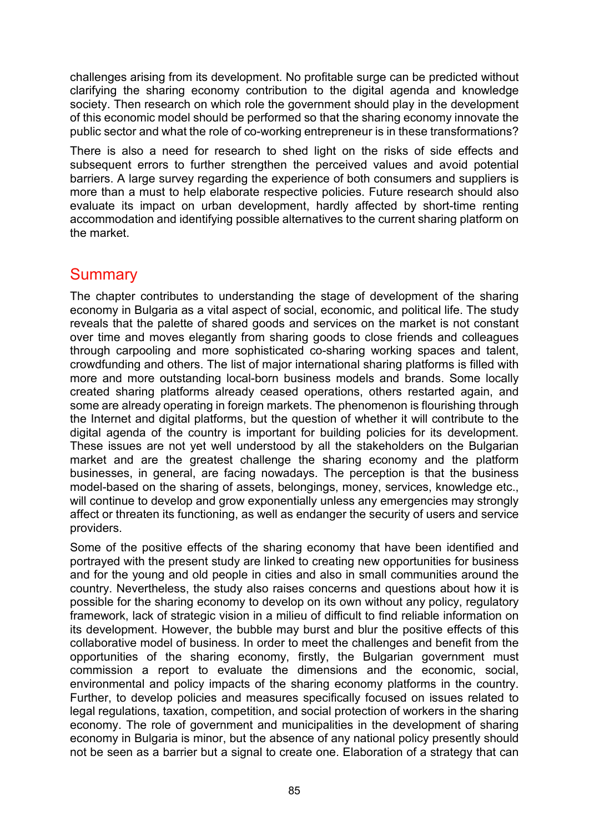challenges arising from its development. No profitable surge can be predicted without clarifying the sharing economy contribution to the digital agenda and knowledge society. Then research on which role the government should play in the development of this economic model should be performed so that the sharing economy innovate the public sector and what the role of co-working entrepreneur is in these transformations?

There is also a need for research to shed light on the risks of side effects and subsequent errors to further strengthen the perceived values and avoid potential barriers. A large survey regarding the experience of both consumers and suppliers is more than a must to help elaborate respective policies. Future research should also evaluate its impact on urban development, hardly affected by short-time renting accommodation and identifying possible alternatives to the current sharing platform on the market.

### Summary

The chapter contributes to understanding the stage of development of the sharing economy in Bulgaria as a vital aspect of social, economic, and political life. The study reveals that the palette of shared goods and services on the market is not constant over time and moves elegantly from sharing goods to close friends and colleagues through carpooling and more sophisticated co-sharing working spaces and talent, crowdfunding and others. The list of major international sharing platforms is filled with more and more outstanding local-born business models and brands. Some locally created sharing platforms already ceased operations, others restarted again, and some are already operating in foreign markets. The phenomenon is flourishing through the Internet and digital platforms, but the question of whether it will contribute to the digital agenda of the country is important for building policies for its development. These issues are not yet well understood by all the stakeholders on the Bulgarian market and are the greatest challenge the sharing economy and the platform businesses, in general, are facing nowadays. The perception is that the business model-based on the sharing of assets, belongings, money, services, knowledge etc., will continue to develop and grow exponentially unless any emergencies may strongly affect or threaten its functioning, as well as endanger the security of users and service providers.

Some of the positive effects of the sharing economy that have been identified and portrayed with the present study are linked to creating new opportunities for business and for the young and old people in cities and also in small communities around the country. Nevertheless, the study also raises concerns and questions about how it is possible for the sharing economy to develop on its own without any policy, regulatory framework, lack of strategic vision in a milieu of difficult to find reliable information on its development. However, the bubble may burst and blur the positive effects of this collaborative model of business. In order to meet the challenges and benefit from the opportunities of the sharing economy, firstly, the Bulgarian government must commission a report to evaluate the dimensions and the economic, social, environmental and policy impacts of the sharing economy platforms in the country. Further, to develop policies and measures specifically focused on issues related to legal regulations, taxation, competition, and social protection of workers in the sharing economy. The role of government and municipalities in the development of sharing economy in Bulgaria is minor, but the absence of any national policy presently should not be seen as a barrier but a signal to create one. Elaboration of a strategy that can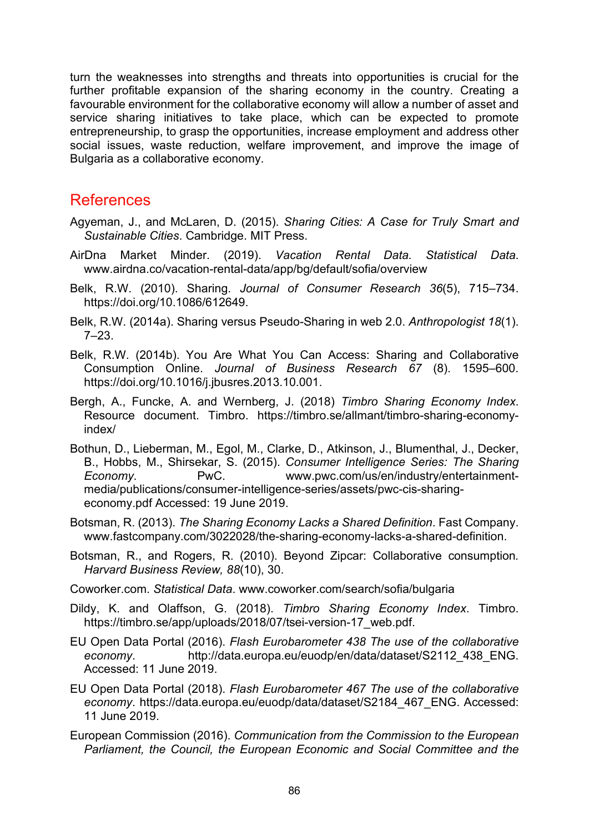turn the weaknesses into strengths and threats into opportunities is crucial for the further profitable expansion of the sharing economy in the country. Creating a favourable environment for the collaborative economy will allow a number of asset and service sharing initiatives to take place, which can be expected to promote entrepreneurship, to grasp the opportunities, increase employment and address other social issues, waste reduction, welfare improvement, and improve the image of Bulgaria as a collaborative economy.

### References

- Agyeman, J., and McLaren, D. (2015). *Sharing Cities: A Case for Truly Smart and Sustainable Cities*. Cambridge. MIT Press.
- AirDna Market Minder. (2019). *Vacation Rental Data. Statistical Data*. www.airdna.co/vacation-rental-[data/app/bg/default/sofia/overview](https://www.airdna.co/vacation-rental-data/app/bg/default/sofia/overview)
- Belk, R.W. (2010). Sharing. *Journal of Consumer Research 36*(5), 715–734. https://doi.org/10.1086/612649.
- Belk, R.W. (2014a). Sharing versus Pseudo-Sharing in web 2.0. *Anthropologist 18*(1). 7–23.
- Belk, R.W. (2014b). You Are What You Can Access: Sharing and Collaborative Consumption Online. *Journal of Business Research 67* (8). 1595–600. https://doi.org/10.1016/j.jbusres.2013.10.001.
- Bergh, A., Funcke, A. and Wernberg, J. (2018) *Timbro Sharing Economy Index*. Resource document. Timbro. [https://timbro.se/allmant/timbro](https://timbro.se/allmant/timbro-sharing-economy-index/)-sharing-economy[index/](https://timbro.se/allmant/timbro-sharing-economy-index/)
- Bothun, D., Lieberman, M., Egol, M., Clarke, D., Atkinson, J., Blumenthal, J., Decker, B., Hobbs, M., Shirsekar, S. (2015). *Consumer Intelligence Series: The Sharing Economy*. PwC. [www.pwc.com/us/en/industry/entertainment](https://www.pwc.com/us/en/industry/entertainment-media/publications/consumer-intelligence-series/assets/pwc-cis-sharing-economy.pdf)media/publications/consumer[-intelligence-series/assets/pwc-cis-sharing](https://www.pwc.com/us/en/industry/entertainment-media/publications/consumer-intelligence-series/assets/pwc-cis-sharing-economy.pdf)[economy.pdf](https://www.pwc.com/us/en/industry/entertainment-media/publications/consumer-intelligence-series/assets/pwc-cis-sharing-economy.pdf) Accessed: 19 June 2019.
- Botsman, R. (2013). *The Sharing Economy Lacks a Shared Definition*. Fast Company. [www.fastcompany.com/3022028/the-sharing-economy-lacks-a-shared-definition.](https://www.fastcompany.com/3022028/the-sharing-economy-lacks-a-shared-definition)
- Botsman, R., and Rogers, R. (2010). Beyond Zipcar: Collaborative consumption*. Harvard Business Review, 88*(10), 30.
- Coworker.com. *Statistical Data*. [www.coworker.com/search/sofia/bulgaria](https://www.coworker.com/search/sofia/bulgaria)
- Dildy, K. and Olaffson, G. (2018). *Timbro Sharing Economy Index*. Timbro. https[://timbro.se/app/uploads/2018/07/tsei](https://timbro.se/app/uploads/2018/07/tsei-version-17_web.pdf)-version-17\_web.pdf.
- EU Open Data Portal (2016). *Flash Eurobarometer 438 The use of the collaborative economy*. [http://data.europa.eu/euodp/en/data/dataset/S2112\\_438\\_ENG.](http://data.europa.eu/euodp/en/data/dataset/S2112_438_ENG) Accessed: 11 June 2019.
- EU Open Data Portal (2018). *Flash Eurobarometer 467 The use of the collaborative economy*. [https://data.europa.eu/euodp/data/dataset/S2184\\_467\\_ENG.](https://data.europa.eu/euodp/data/dataset/S2184_467_ENG) Accessed: 11 June 2019.
- European Commission (2016). *Communication from the Commission to the European Parliament, the Council, the European Economic and Social Committee and the*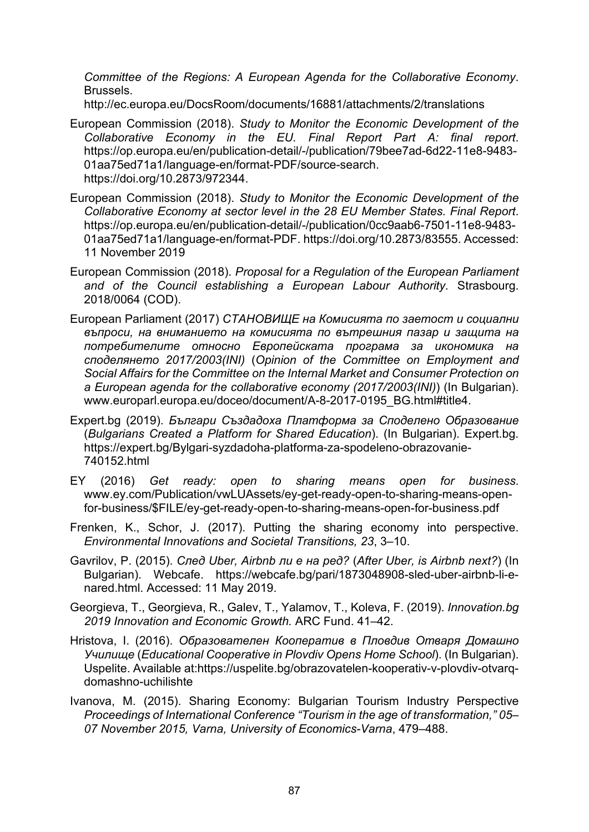*Committee of the Regions: A European Agenda for the Collaborative Economy*. Brussels.

<http://ec.europa.eu/DocsRoom/documents/16881/attachments/2/translations>

- European Commission (2018). *Study to Monitor the Economic Development of the Collaborative Economy in the EU. Final Report Part A: final report*. [https://op.europa.eu/en/publication](https://op.europa.eu/en/publication-detail/-/publication/79bee7ad-6d22-11e8-9483-01aa75ed71a1/language-en/format-PDF/source-search)-detail/-/publication/79bee7ad-6d22-11e8-9483- [01aa75ed71a1/language-en/format-](https://op.europa.eu/en/publication-detail/-/publication/79bee7ad-6d22-11e8-9483-01aa75ed71a1/language-en/format-PDF/source-search)PDF/source-search. https://doi.org/10.2873/972344.
- European Commission (2018). *Study to Monitor the Economic Development of the Collaborative Economy at sector level in the 28 EU Member States. Final Report*. [https://op.europa.eu/en/publication](https://op.europa.eu/en/publication-detail/-/publication/0cc9aab6-7501-11e8-9483-01aa75ed71a1/language-en/format-PDF)-detail/-/publication/0cc9aab6-7501-11e8-9483- [01aa75ed71a1/language-en/format-](https://op.europa.eu/en/publication-detail/-/publication/0cc9aab6-7501-11e8-9483-01aa75ed71a1/language-en/format-PDF)PDF. https://doi.org/10.2873/83555. Accessed: 11 November 2019
- European Commission (2018). *Proposal for a Regulation of the European Parliament and of the Council establishing a European Labour Authority*. Strasbourg. 2018/0064 (COD).
- European Parliament (2017) *СТАНОВИЩЕ на Комисията по заетост и социални въпроси, на вниманието на комисията по вътрешния пазар и защита на потребителите относно Европейската програма за икономика на споделянето 2017/2003(INI)* (*Opinion of the Committee on Employment and Social Affairs for the Committee on the Internal Market and Consumer Protection on a European agenda for the collaborative economy (2017/2003(INI)*) (In Bulgarian). [www.europarl.europa.eu/doceo/document/A-8-2017-0195\\_BG.html#title4.](https://www.europarl.europa.eu/doceo/document/A-8-2017-0195_BG.html#title4)
- Expert.bg (2019). *Българи Създадоха Платформа за Споделено Образование* (*Bulgarians Created a Platform for Shared Education*). (In Bulgarian). Expert.bg. https://expert.bg/Bylgari-syzdadoha-platforma-za-spodeleno-obrazovanie-740152.html
- EY (2016) *Get ready: open to sharing means open for business*. www.ey.com/Publication/vwLUAssets/ey[-get-ready-open-to-sharing-means-open](https://www.ey.com/Publication/vwLUAssets/ey-get-ready-open-to-sharing-means-open-for-business/$FILE/ey-get-ready-open-to-sharing-means-open-for-business.pdf)for-business/\$FILE/ey[-get-ready-open-to-sharing-means-open-for-](https://www.ey.com/Publication/vwLUAssets/ey-get-ready-open-to-sharing-means-open-for-business/$FILE/ey-get-ready-open-to-sharing-means-open-for-business.pdf)business.pdf
- Frenken, K., Schor, J. (2017). Putting the sharing economy into perspective. *Environmental Innovations and Societal Transitions, 23*, 3–10.
- Gavrilov, P. (2015). *След Uber, Airbnb ли е на ред?* (*After Uber, is Airbnb next?*) (In Bulgarian). Webcafe. [https://webcafe.bg/pari/1873048908](https://webcafe.bg/pari/1873048908-sled-uber-airbnb-li-e-nared.html)-sled-uber-airbnb-li-e[nared.html.](https://webcafe.bg/pari/1873048908-sled-uber-airbnb-li-e-nared.html) Accessed: 11 May 2019.
- Georgieva, T., Georgieva, R., Galev, T., Yalamov, T., Koleva, F. (2019). *Innovation.bg 2019 Innovation and Economic Growth.* ARC Fund. 41–42.
- Hristova, I. (2016). *Образователен Кооператив в Пловдив Отваря Домашно Училище* (*Educational Cooperative in Plovdiv Opens Home School*). (In Bulgarian). Uspelite. Available at[:https://uspelite.bg/obrazovatelen](https://uspelite.bg/obrazovatelen-kooperativ-v-plovdiv-otvarq-domashno-uchilishte)-kooperativ-v-plovdiv-otvarq[domashno-uchilishte](https://uspelite.bg/obrazovatelen-kooperativ-v-plovdiv-otvarq-domashno-uchilishte)
- Ivanova, M. (2015). Sharing Economy: Bulgarian Tourism Industry Perspective *Proceedings of International Conference "Tourism in the age of transformation," 05*– *07 November 2015, Varna, University of Economics-Varna*, 479–488.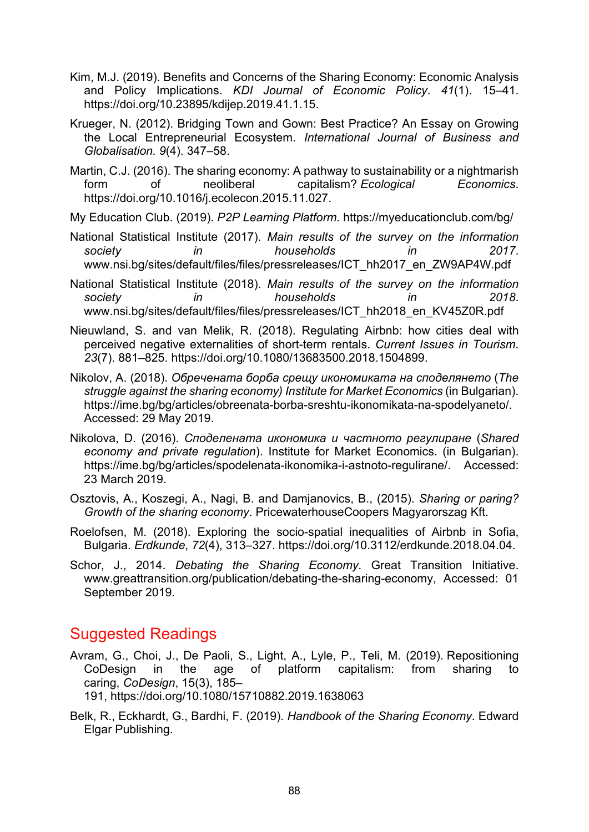- Kim, M.J. (2019). Benefits and Concerns of the Sharing Economy: Economic Analysis and Policy Implications. *KDI Journal of Economic Policy*. *41*(1). 15–41. https://doi.org/10.23895/kdijep.2019.41.1.15.
- Krueger, N. (2012). Bridging Town and Gown: Best Practice? An Essay on Growing the Local Entrepreneurial Ecosystem. *International Journal of Business and Globalisation. 9*(4). 347–58.
- Martin, C.J. (2016). The sharing economy: A pathway to sustainability or a nightmarish form of neoliberal capitalism? *Ecological Economics*. https://doi.org/10.1016/j.ecolecon.2015.11.027.
- My Education Club. (2019). *P2P Learning Platform*. <https://myeducationclub.com/bg/>
- National Statistical Institute (2017). *Main results of the survey on the information society in households in 2017*. [www.nsi.bg/sites/default/files/files/pressreleases/ICT\\_hh2017\\_en\\_ZW9AP4W.pdf](https://www.nsi.bg/sites/default/files/files/pressreleases/ICT_hh2017_en_ZW9AP4W.pdf)
- National Statistical Institute (2018). *Main results of the survey on the information society in households in 2018*. [www.nsi.bg/sites/default/files/files/pressrelea](https://www.nsi.bg/sites/default/files/files/pressreleases/ICT_hh2018_en_KV45Z0R.pdf)ses/ICT\_hh2018\_en\_KV45Z0R.pdf
- Nieuwland, S. and van Melik, R. (2018). Regulating Airbnb: how cities deal with perceived negative externalities of short-term rentals. *Current Issues in Tourism*. *23*(7). 881–825. https://doi.org/10.1080/13683500.2018.1504899.
- Nikolov, A. (2018). *Обречената борба срещу икономиката на споделянето* (*The struggle against the sharing economy) Institute for Market Economics* (in Bulgarian). https://ime.bg/bg/articles/obreenata-borba[-sreshtu-ikonomikata-na-spodelyaneto/.](https://ime.bg/bg/articles/obreenata-borba-sreshtu-ikonomikata-na-spodelyaneto/) Accessed: 29 May 2019.
- Nikolova, D. (2016). *Споделената икономика и частното регулиране* (*Shared economy and private regulation*). Institute for Market Economics. (in Bulgarian). [https://ime.bg/bg/articles/spodelenata](https://ime.bg/bg/articles/spodelenata-ikonomika-i-astnoto-regulirane/)-ikonomika-i-astnoto-regulirane/. Accessed: 23 March 2019.
- Osztovis, A., Koszegi, A., Nagi, B. and Damjanovics, B., (2015). *Sharing or paring? Growth of the sharing economy*. PricewaterhouseCoopers Magyarorszag Kft.
- Roelofsen, M. (2018). Exploring the socio-spatial inequalities of Airbnb in Sofia, Bulgaria. *Erdkunde*, *72*(4), 313–327. https://doi.org/10.3112/erdkunde.2018.04.04.
- Schor, J., 2014. *Debating the Sharing Economy*. Great Transition Initiative. [www.greattransition.org/publication/deb](https://www.greattransition.org/publication/debating-the-sharing-economy)ating-the-sharing-economy, Accessed: 01 September 2019.

## Suggested Readings

- Avram, G., Choi, J., De Paoli, S., Light, A., Lyle, P., Teli, M. (2019). Repositioning CoDesign in the age of platform capitalism: from sharing to caring, *CoDesign*, 15(3), 185– 191, https://doi.org[/10.1080/15710882.2019.1638063](https://doi.org/10.1080/15710882.2019.1638063)
- Belk, R., Eckhardt, G., Bardhi, F. (2019). *Handbook of the Sharing Economy*. Edward Elgar Publishing.